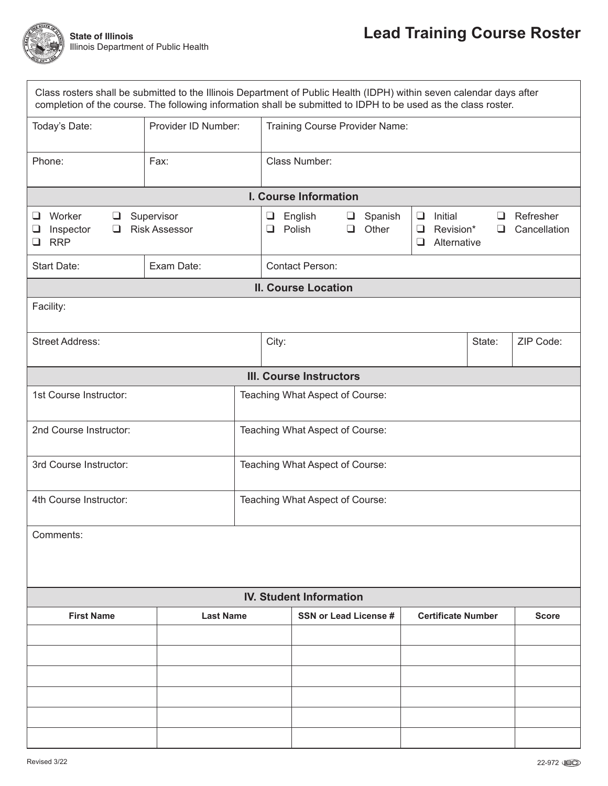

| Class rosters shall be submitted to the Illinois Department of Public Health (IDPH) within seven calendar days after<br>completion of the course. The following information shall be submitted to IDPH to be used as the class roster. |                                                                        |                                 |                                |                              |                  |                           |                                     |              |                           |  |  |
|----------------------------------------------------------------------------------------------------------------------------------------------------------------------------------------------------------------------------------------|------------------------------------------------------------------------|---------------------------------|--------------------------------|------------------------------|------------------|---------------------------|-------------------------------------|--------------|---------------------------|--|--|
| Provider ID Number:<br>Today's Date:                                                                                                                                                                                                   |                                                                        |                                 | Training Course Provider Name: |                              |                  |                           |                                     |              |                           |  |  |
| Phone:                                                                                                                                                                                                                                 | Fax:                                                                   |                                 | Class Number:                  |                              |                  |                           |                                     |              |                           |  |  |
| I. Course Information                                                                                                                                                                                                                  |                                                                        |                                 |                                |                              |                  |                           |                                     |              |                           |  |  |
| Worker<br>$\Box$<br>⊔<br>Inspector<br>❏<br>❏<br><b>RRP</b><br>❏                                                                                                                                                                        | Supervisor<br>English<br>$\Box$<br><b>Risk Assessor</b><br>Polish<br>❏ |                                 |                                | $\Box$<br>❏                  | Spanish<br>Other | ❏<br>❏<br>$\Box$          | Initial<br>Revision*<br>Alternative | ப<br>❏       | Refresher<br>Cancellation |  |  |
| Start Date:                                                                                                                                                                                                                            | Exam Date:                                                             |                                 | <b>Contact Person:</b>         |                              |                  |                           |                                     |              |                           |  |  |
| <b>II. Course Location</b>                                                                                                                                                                                                             |                                                                        |                                 |                                |                              |                  |                           |                                     |              |                           |  |  |
| Facility:                                                                                                                                                                                                                              |                                                                        |                                 |                                |                              |                  |                           |                                     |              |                           |  |  |
| <b>Street Address:</b>                                                                                                                                                                                                                 |                                                                        | City:                           |                                |                              |                  |                           |                                     | State:       | ZIP Code:                 |  |  |
| <b>III. Course Instructors</b>                                                                                                                                                                                                         |                                                                        |                                 |                                |                              |                  |                           |                                     |              |                           |  |  |
| 1st Course Instructor:                                                                                                                                                                                                                 |                                                                        | Teaching What Aspect of Course: |                                |                              |                  |                           |                                     |              |                           |  |  |
| 2nd Course Instructor:                                                                                                                                                                                                                 | Teaching What Aspect of Course:                                        |                                 |                                |                              |                  |                           |                                     |              |                           |  |  |
| 3rd Course Instructor:                                                                                                                                                                                                                 | Teaching What Aspect of Course:                                        |                                 |                                |                              |                  |                           |                                     |              |                           |  |  |
| 4th Course Instructor:                                                                                                                                                                                                                 | Teaching What Aspect of Course:                                        |                                 |                                |                              |                  |                           |                                     |              |                           |  |  |
| Comments:                                                                                                                                                                                                                              |                                                                        |                                 |                                |                              |                  |                           |                                     |              |                           |  |  |
| <b>IV. Student Information</b>                                                                                                                                                                                                         |                                                                        |                                 |                                |                              |                  |                           |                                     |              |                           |  |  |
| <b>First Name</b><br><b>Last Name</b>                                                                                                                                                                                                  |                                                                        |                                 |                                | <b>SSN or Lead License #</b> |                  | <b>Certificate Number</b> |                                     | <b>Score</b> |                           |  |  |
|                                                                                                                                                                                                                                        |                                                                        |                                 |                                |                              |                  |                           |                                     |              |                           |  |  |
|                                                                                                                                                                                                                                        |                                                                        |                                 |                                |                              |                  |                           |                                     |              |                           |  |  |
|                                                                                                                                                                                                                                        |                                                                        |                                 |                                |                              |                  |                           |                                     |              |                           |  |  |
|                                                                                                                                                                                                                                        |                                                                        |                                 |                                |                              |                  |                           |                                     |              |                           |  |  |
|                                                                                                                                                                                                                                        |                                                                        |                                 |                                |                              |                  |                           |                                     |              |                           |  |  |